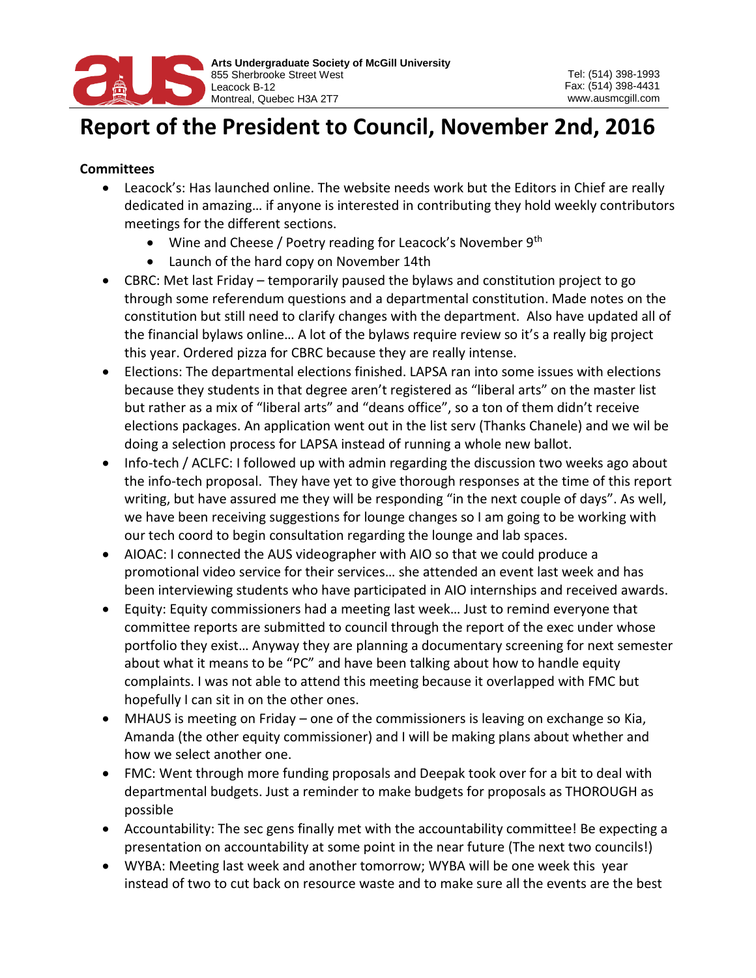

## **Report of the President to Council, November 2nd, 2016**

## **Committees**

- Leacock's: Has launched online. The website needs work but the Editors in Chief are really dedicated in amazing… if anyone is interested in contributing they hold weekly contributors meetings for the different sections.
	- Wine and Cheese / Poetry reading for Leacock's November 9<sup>th</sup>
	- Launch of the hard copy on November 14th
- CBRC: Met last Friday temporarily paused the bylaws and constitution project to go through some referendum questions and a departmental constitution. Made notes on the constitution but still need to clarify changes with the department. Also have updated all of the financial bylaws online… A lot of the bylaws require review so it's a really big project this year. Ordered pizza for CBRC because they are really intense.
- Elections: The departmental elections finished. LAPSA ran into some issues with elections because they students in that degree aren't registered as "liberal arts" on the master list but rather as a mix of "liberal arts" and "deans office", so a ton of them didn't receive elections packages. An application went out in the list serv (Thanks Chanele) and we wil be doing a selection process for LAPSA instead of running a whole new ballot.
- Info-tech / ACLFC: I followed up with admin regarding the discussion two weeks ago about the info-tech proposal. They have yet to give thorough responses at the time of this report writing, but have assured me they will be responding "in the next couple of days". As well, we have been receiving suggestions for lounge changes so I am going to be working with our tech coord to begin consultation regarding the lounge and lab spaces.
- AIOAC: I connected the AUS videographer with AIO so that we could produce a promotional video service for their services… she attended an event last week and has been interviewing students who have participated in AIO internships and received awards.
- Equity: Equity commissioners had a meeting last week… Just to remind everyone that committee reports are submitted to council through the report of the exec under whose portfolio they exist… Anyway they are planning a documentary screening for next semester about what it means to be "PC" and have been talking about how to handle equity complaints. I was not able to attend this meeting because it overlapped with FMC but hopefully I can sit in on the other ones.
- MHAUS is meeting on Friday one of the commissioners is leaving on exchange so Kia, Amanda (the other equity commissioner) and I will be making plans about whether and how we select another one.
- FMC: Went through more funding proposals and Deepak took over for a bit to deal with departmental budgets. Just a reminder to make budgets for proposals as THOROUGH as possible
- Accountability: The sec gens finally met with the accountability committee! Be expecting a presentation on accountability at some point in the near future (The next two councils!)
- WYBA: Meeting last week and another tomorrow; WYBA will be one week this year instead of two to cut back on resource waste and to make sure all the events are the best